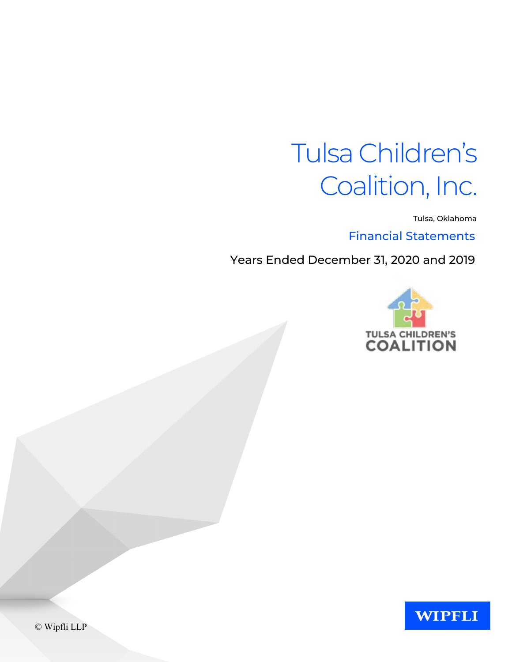Tulsa, Oklahoma

Financial Statements

Years Ended December 31, 2020 and 2019





© Wipfli LLP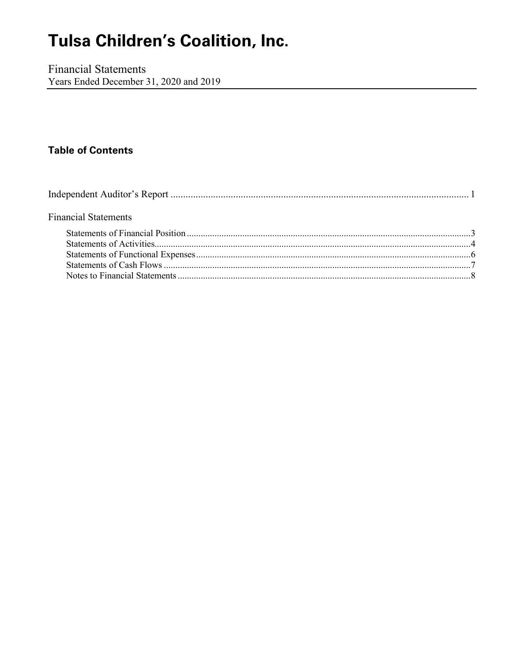**Financial Statements** Years Ended December 31, 2020 and 2019

### **Table of Contents**

| <b>Financial Statements</b> |  |
|-----------------------------|--|
|                             |  |
|                             |  |
|                             |  |
|                             |  |
|                             |  |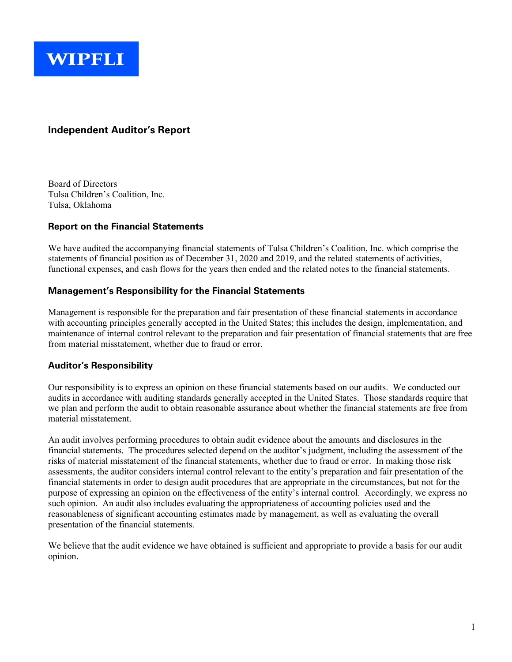

#### **Independent Auditor's Report**

Board of Directors Tulsa Children's Coalition, Inc. Tulsa, Oklahoma

#### **Report on the Financial Statements**

We have audited the accompanying financial statements of Tulsa Children's Coalition, Inc. which comprise the statements of financial position as of December 31, 2020 and 2019, and the related statements of activities, functional expenses, and cash flows for the years then ended and the related notes to the financial statements.

#### **Management's Responsibility for the Financial Statements**

Management is responsible for the preparation and fair presentation of these financial statements in accordance with accounting principles generally accepted in the United States; this includes the design, implementation, and maintenance of internal control relevant to the preparation and fair presentation of financial statements that are free from material misstatement, whether due to fraud or error.

#### **Auditor's Responsibility**

Our responsibility is to express an opinion on these financial statements based on our audits. We conducted our audits in accordance with auditing standards generally accepted in the United States. Those standards require that we plan and perform the audit to obtain reasonable assurance about whether the financial statements are free from material misstatement.

An audit involves performing procedures to obtain audit evidence about the amounts and disclosures in the financial statements. The procedures selected depend on the auditor's judgment, including the assessment of the risks of material misstatement of the financial statements, whether due to fraud or error. In making those risk assessments, the auditor considers internal control relevant to the entity's preparation and fair presentation of the financial statements in order to design audit procedures that are appropriate in the circumstances, but not for the purpose of expressing an opinion on the effectiveness of the entity's internal control. Accordingly, we express no such opinion. An audit also includes evaluating the appropriateness of accounting policies used and the reasonableness of significant accounting estimates made by management, as well as evaluating the overall presentation of the financial statements.

We believe that the audit evidence we have obtained is sufficient and appropriate to provide a basis for our audit opinion.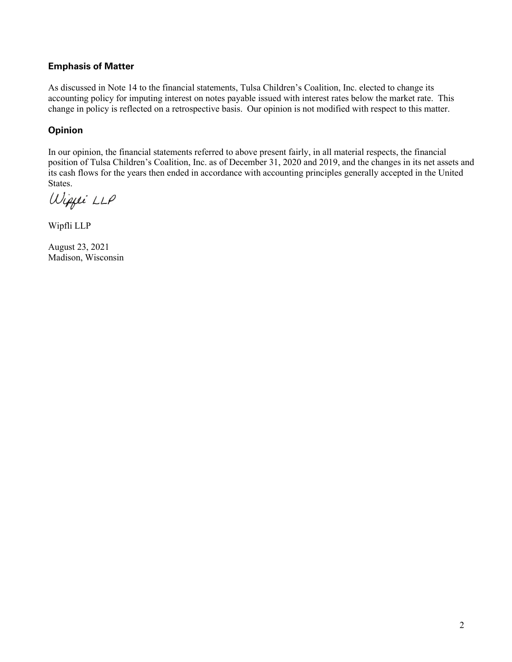#### **Emphasis of Matter**

As discussed in Note 14 to the financial statements, Tulsa Children's Coalition, Inc. elected to change its accounting policy for imputing interest on notes payable issued with interest rates below the market rate. This change in policy is reflected on a retrospective basis. Our opinion is not modified with respect to this matter.

#### **Opinion**

In our opinion, the financial statements referred to above present fairly, in all material respects, the financial position of Tulsa Children's Coalition, Inc. as of December 31, 2020 and 2019, and the changes in its net assets and its cash flows for the years then ended in accordance with accounting principles generally accepted in the United States.

Wippei LLP

Wipfli LLP

August 23, 2021 Madison, Wisconsin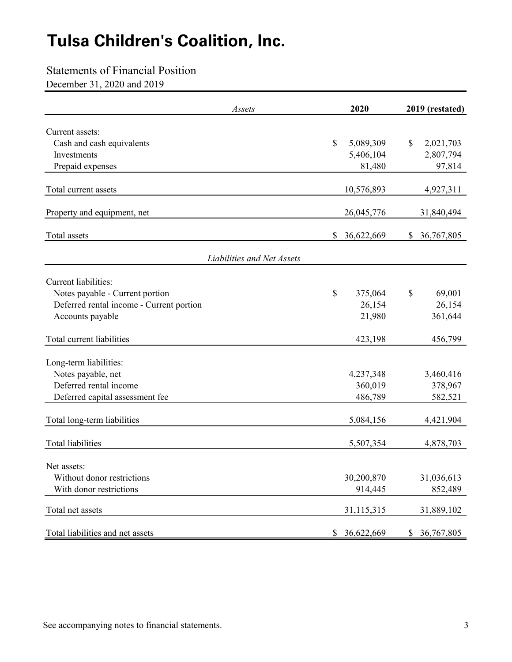### Statements of Financial Position

December 31, 2020 and 2019

| Assets                                                                      |              | 2020       | 2019 (restated)  |
|-----------------------------------------------------------------------------|--------------|------------|------------------|
| Current assets:                                                             |              |            |                  |
| Cash and cash equivalents                                                   | \$           | 5,089,309  | \$<br>2,021,703  |
| Investments                                                                 |              | 5,406,104  | 2,807,794        |
| Prepaid expenses                                                            |              | 81,480     | 97,814           |
| Total current assets                                                        |              | 10,576,893 | 4,927,311        |
| Property and equipment, net                                                 |              | 26,045,776 | 31,840,494       |
| Total assets                                                                | \$           | 36,622,669 | \$<br>36,767,805 |
| Liabilities and Net Assets                                                  |              |            |                  |
| <b>Current liabilities:</b>                                                 |              |            |                  |
|                                                                             | \$           | 375,064    | \$<br>69,001     |
| Notes payable - Current portion<br>Deferred rental income - Current portion |              | 26,154     | 26,154           |
| Accounts payable                                                            |              | 21,980     | 361,644          |
|                                                                             |              |            |                  |
| Total current liabilities                                                   |              | 423,198    | 456,799          |
| Long-term liabilities:                                                      |              |            |                  |
| Notes payable, net                                                          |              | 4,237,348  | 3,460,416        |
| Deferred rental income                                                      |              | 360,019    | 378,967          |
| Deferred capital assessment fee                                             |              | 486,789    | 582,521          |
| Total long-term liabilities                                                 |              | 5,084,156  | 4,421,904        |
| <b>Total liabilities</b>                                                    |              | 5,507,354  | 4,878,703        |
|                                                                             |              |            |                  |
| Net assets:                                                                 |              |            |                  |
| Without donor restrictions<br>With donor restrictions                       |              | 30,200,870 | 31,036,613       |
|                                                                             |              | 914,445    | 852,489          |
| Total net assets                                                            |              | 31,115,315 | 31,889,102       |
| Total liabilities and net assets                                            | $\mathbb{S}$ | 36,622,669 | \$<br>36,767,805 |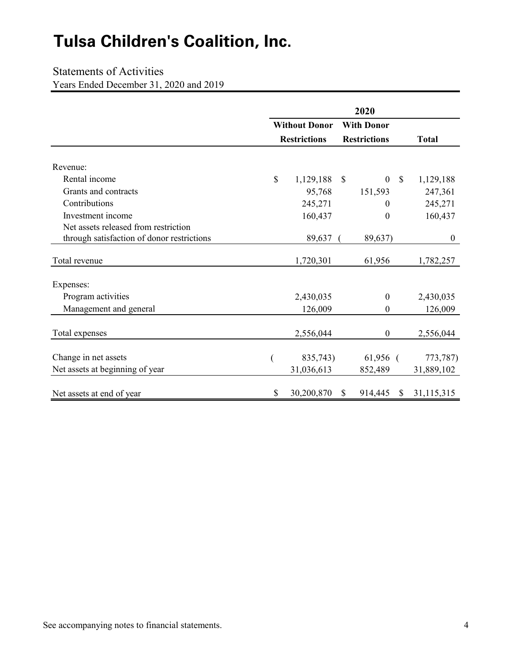### Statements of Activities

Years Ended December 31, 2020 and 2019

|                                            |    | <b>Without Donor</b> |               | <b>With Donor</b>                 |                  |
|--------------------------------------------|----|----------------------|---------------|-----------------------------------|------------------|
|                                            |    | <b>Restrictions</b>  |               | <b>Restrictions</b>               | <b>Total</b>     |
|                                            |    |                      |               |                                   |                  |
| Revenue:                                   |    |                      |               |                                   |                  |
| Rental income                              | \$ | 1,129,188            | $\mathcal{S}$ | $\boldsymbol{0}$<br>$\mathcal{S}$ | 1,129,188        |
| Grants and contracts                       |    | 95,768               |               | 151,593                           | 247,361          |
| Contributions                              |    | 245,271              |               | 0                                 | 245,271          |
| Investment income                          |    | 160,437              |               | $\theta$                          | 160,437          |
| Net assets released from restriction       |    |                      |               |                                   |                  |
| through satisfaction of donor restrictions |    | 89,637               |               | 89,637)                           | $\boldsymbol{0}$ |
| Total revenue                              |    | 1,720,301            |               | 61,956                            | 1,782,257        |
| Expenses:                                  |    |                      |               |                                   |                  |
| Program activities                         |    | 2,430,035            |               | $\boldsymbol{0}$                  | 2,430,035        |
| Management and general                     |    | 126,009              |               | $\boldsymbol{0}$                  | 126,009          |
| Total expenses                             |    | 2,556,044            |               | $\boldsymbol{0}$                  | 2,556,044        |
| Change in net assets                       |    | 835,743)             |               | $61,956$ (                        | 773,787)         |
| Net assets at beginning of year            |    | 31,036,613           |               | 852,489                           | 31,889,102       |
| Net assets at end of year                  | \$ | 30,200,870           | \$            | 914,445<br><sup>S</sup>           | 31,115,315       |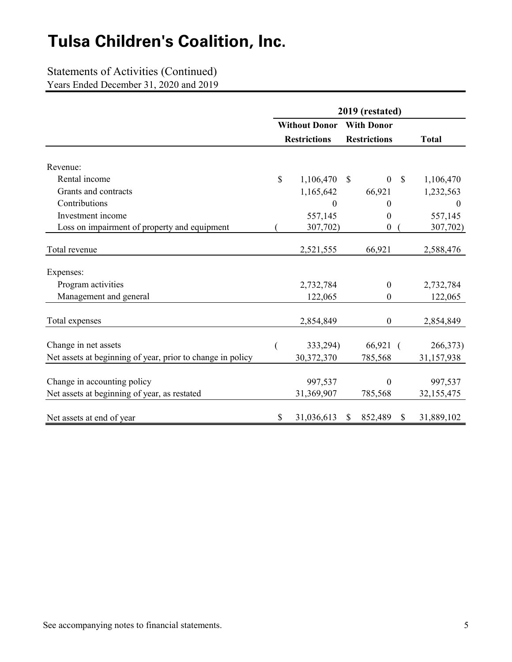### Statements of Activities (Continued)

Years Ended December 31, 2020 and 2019

|                                                            | 2019 (restated) |                      |              |                     |               |                  |  |
|------------------------------------------------------------|-----------------|----------------------|--------------|---------------------|---------------|------------------|--|
|                                                            |                 | <b>Without Donor</b> |              | <b>With Donor</b>   |               |                  |  |
|                                                            |                 | <b>Restrictions</b>  |              | <b>Restrictions</b> |               | <b>Total</b>     |  |
| Revenue:                                                   |                 |                      |              |                     |               |                  |  |
| Rental income                                              | \$              | 1,106,470            | $\mathbb{S}$ | $\mathbf{0}$        | $\mathcal{S}$ | 1,106,470        |  |
| Grants and contracts                                       |                 | 1,165,642            |              | 66,921              |               | 1,232,563        |  |
| Contributions                                              |                 | $\theta$             |              | 0                   |               | $\boldsymbol{0}$ |  |
| Investment income                                          |                 | 557,145              |              | 0                   |               | 557,145          |  |
| Loss on impairment of property and equipment               |                 | 307,702)             |              | 0                   |               | 307,702)         |  |
| Total revenue                                              |                 | 2,521,555            |              | 66,921              |               | 2,588,476        |  |
|                                                            |                 |                      |              |                     |               |                  |  |
| Expenses:                                                  |                 |                      |              |                     |               |                  |  |
| Program activities                                         |                 | 2,732,784            |              | $\boldsymbol{0}$    |               | 2,732,784        |  |
| Management and general                                     |                 | 122,065              |              | 0                   |               | 122,065          |  |
| Total expenses                                             |                 | 2,854,849            |              | $\mathbf{0}$        |               | 2,854,849        |  |
|                                                            |                 |                      |              |                     |               |                  |  |
| Change in net assets                                       |                 | 333,294)             |              | 66,921 (            |               | 266,373)         |  |
| Net assets at beginning of year, prior to change in policy |                 | 30,372,370           |              | 785,568             |               | 31,157,938       |  |
|                                                            |                 |                      |              |                     |               |                  |  |
| Change in accounting policy                                |                 | 997,537              |              | $\mathbf{0}$        |               | 997,537          |  |
| Net assets at beginning of year, as restated               |                 | 31,369,907           |              | 785,568             |               | 32,155,475       |  |
|                                                            |                 |                      |              |                     |               |                  |  |
| Net assets at end of year                                  | \$              | 31,036,613           | \$           | 852,489             | \$            | 31,889,102       |  |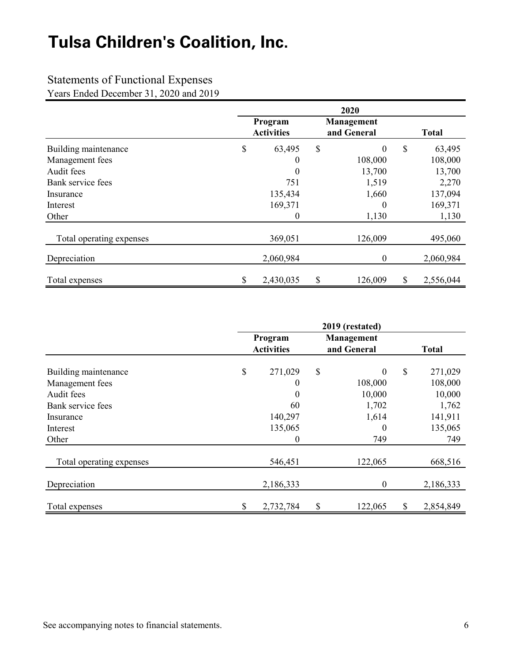### Statements of Functional Expenses

Years Ended December 31, 2020 and 2019

|                          | 2020                                                      |           |    |                  |               |           |  |
|--------------------------|-----------------------------------------------------------|-----------|----|------------------|---------------|-----------|--|
|                          | Program<br>Management<br>and General<br><b>Activities</b> |           |    |                  | <b>Total</b>  |           |  |
| Building maintenance     | \$                                                        | 63,495    | \$ | $\boldsymbol{0}$ | $\mathcal{S}$ | 63,495    |  |
| Management fees          |                                                           | $\theta$  |    | 108,000          |               | 108,000   |  |
| Audit fees               |                                                           | $\Omega$  |    | 13,700           |               | 13,700    |  |
| Bank service fees        |                                                           | 751       |    | 1,519            |               | 2,270     |  |
| Insurance                |                                                           | 135,434   |    | 1,660            |               | 137,094   |  |
| Interest                 |                                                           | 169,371   |    | $\boldsymbol{0}$ |               | 169,371   |  |
| Other                    |                                                           | $\theta$  |    | 1,130            |               | 1,130     |  |
| Total operating expenses |                                                           | 369,051   |    | 126,009          |               | 495,060   |  |
| Depreciation             |                                                           | 2,060,984 |    | $\boldsymbol{0}$ |               | 2,060,984 |  |
| Total expenses           | \$                                                        | 2,430,035 | \$ | 126,009          | \$            | 2,556,044 |  |

|                          | 2019 (restated)<br>Program<br>Management<br>and General<br><b>Activities</b> |           |    |                  | <b>Total</b>    |
|--------------------------|------------------------------------------------------------------------------|-----------|----|------------------|-----------------|
| Building maintenance     | \$                                                                           | 271,029   | \$ | $\boldsymbol{0}$ | \$<br>271,029   |
| Management fees          |                                                                              | 0         |    | 108,000          | 108,000         |
| Audit fees               |                                                                              | $\theta$  |    | 10,000           | 10,000          |
| Bank service fees        |                                                                              | 60        |    | 1,702            | 1,762           |
| Insurance                |                                                                              | 140,297   |    | 1,614            | 141,911         |
| Interest                 |                                                                              | 135,065   |    | $\theta$         | 135,065         |
| Other                    |                                                                              | 0         |    | 749              | 749             |
| Total operating expenses |                                                                              | 546,451   |    | 122,065          | 668,516         |
| Depreciation             |                                                                              | 2,186,333 |    | $\boldsymbol{0}$ | 2,186,333       |
| Total expenses           |                                                                              | 2,732,784 | \$ | 122,065          | \$<br>2,854,849 |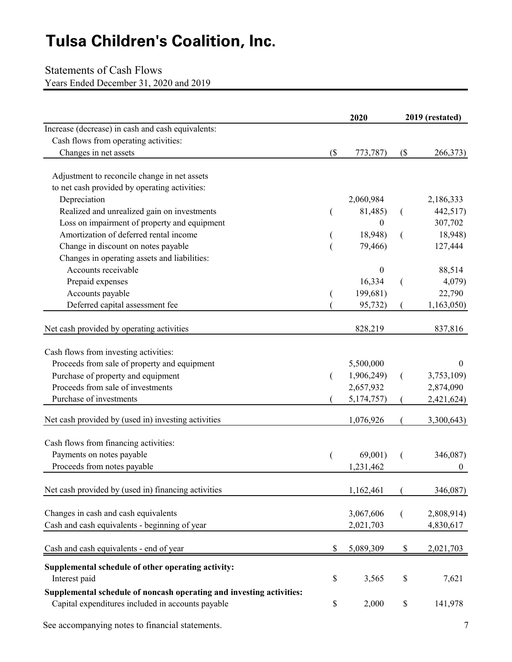### Statements of Cash Flows

Years Ended December 31, 2020 and 2019

|                                                                                                                           |    | 2020             |    | 2019 (restated) |  |  |
|---------------------------------------------------------------------------------------------------------------------------|----|------------------|----|-----------------|--|--|
| Increase (decrease) in cash and cash equivalents:                                                                         |    |                  |    |                 |  |  |
| Cash flows from operating activities:                                                                                     |    |                  |    |                 |  |  |
| Changes in net assets                                                                                                     | (  | 773,787)         | (  | 266,373)        |  |  |
| Adjustment to reconcile change in net assets                                                                              |    |                  |    |                 |  |  |
| to net cash provided by operating activities:                                                                             |    |                  |    |                 |  |  |
| Depreciation                                                                                                              |    | 2,060,984        |    | 2,186,333       |  |  |
| Realized and unrealized gain on investments                                                                               |    | 81,485)          |    | 442,517)        |  |  |
| Loss on impairment of property and equipment                                                                              |    | $\boldsymbol{0}$ |    | 307,702         |  |  |
| Amortization of deferred rental income                                                                                    |    | 18,948)          |    | 18,948)         |  |  |
| Change in discount on notes payable                                                                                       |    | 79,466)          |    | 127,444         |  |  |
| Changes in operating assets and liabilities:                                                                              |    |                  |    |                 |  |  |
| Accounts receivable                                                                                                       |    | $\theta$         |    | 88,514          |  |  |
| Prepaid expenses                                                                                                          |    | 16,334           |    | 4,079)          |  |  |
| Accounts payable                                                                                                          |    | 199,681)         |    | 22,790          |  |  |
| Deferred capital assessment fee                                                                                           |    | 95,732)          |    | 1,163,050)      |  |  |
|                                                                                                                           |    |                  |    |                 |  |  |
| Net cash provided by operating activities                                                                                 |    | 828,219          |    | 837,816         |  |  |
| Cash flows from investing activities:                                                                                     |    |                  |    |                 |  |  |
| Proceeds from sale of property and equipment                                                                              |    | 5,500,000        |    | $\theta$        |  |  |
| Purchase of property and equipment                                                                                        |    | 1,906,249)       |    | 3,753,109)      |  |  |
| Proceeds from sale of investments                                                                                         |    | 2,657,932        |    | 2,874,090       |  |  |
| Purchase of investments                                                                                                   |    | 5,174,757)       |    | 2,421,624)      |  |  |
| Net cash provided by (used in) investing activities                                                                       |    | 1,076,926        |    | 3,300,643)      |  |  |
| Cash flows from financing activities:                                                                                     |    |                  |    |                 |  |  |
| Payments on notes payable                                                                                                 |    | 69,001)          |    | 346,087)        |  |  |
| Proceeds from notes payable                                                                                               |    | 1,231,462        |    | $\mathbf{0}$    |  |  |
|                                                                                                                           |    |                  |    |                 |  |  |
| Net cash provided by (used in) financing activities                                                                       |    | 1,162,461        |    | 346,087)        |  |  |
| Changes in cash and cash equivalents                                                                                      |    | 3,067,606        |    | 2,808,914)      |  |  |
| Cash and cash equivalents - beginning of year                                                                             |    | 2,021,703        |    | 4,830,617       |  |  |
|                                                                                                                           |    |                  |    |                 |  |  |
| Cash and cash equivalents - end of year                                                                                   | \$ | 5,089,309        | \$ | 2,021,703       |  |  |
| Supplemental schedule of other operating activity:                                                                        |    |                  |    |                 |  |  |
| Interest paid                                                                                                             | \$ | 3,565            | \$ | 7,621           |  |  |
| Supplemental schedule of noncash operating and investing activities:<br>Capital expenditures included in accounts payable | \$ | 2,000            | \$ | 141,978         |  |  |
|                                                                                                                           |    |                  |    |                 |  |  |

See accompanying notes to financial statements. 7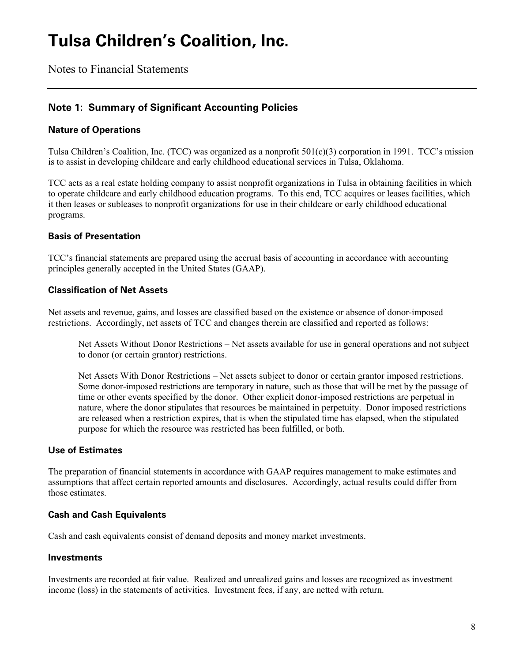Notes to Financial Statements

#### **Note 1: Summary of Significant Accounting Policies**

#### **Nature of Operations**

Tulsa Children's Coalition, Inc. (TCC) was organized as a nonprofit 501(c)(3) corporation in 1991. TCC's mission is to assist in developing childcare and early childhood educational services in Tulsa, Oklahoma.

TCC acts as a real estate holding company to assist nonprofit organizations in Tulsa in obtaining facilities in which to operate childcare and early childhood education programs. To this end, TCC acquires or leases facilities, which it then leases or subleases to nonprofit organizations for use in their childcare or early childhood educational programs.

#### **Basis of Presentation**

TCC's financial statements are prepared using the accrual basis of accounting in accordance with accounting principles generally accepted in the United States (GAAP).

#### **Classification of Net Assets**

Net assets and revenue, gains, and losses are classified based on the existence or absence of donor-imposed restrictions. Accordingly, net assets of TCC and changes therein are classified and reported as follows:

Net Assets Without Donor Restrictions – Net assets available for use in general operations and not subject to donor (or certain grantor) restrictions.

Net Assets With Donor Restrictions – Net assets subject to donor or certain grantor imposed restrictions. Some donor-imposed restrictions are temporary in nature, such as those that will be met by the passage of time or other events specified by the donor. Other explicit donor-imposed restrictions are perpetual in nature, where the donor stipulates that resources be maintained in perpetuity. Donor imposed restrictions are released when a restriction expires, that is when the stipulated time has elapsed, when the stipulated purpose for which the resource was restricted has been fulfilled, or both.

#### **Use of Estimates**

The preparation of financial statements in accordance with GAAP requires management to make estimates and assumptions that affect certain reported amounts and disclosures. Accordingly, actual results could differ from those estimates.

#### **Cash and Cash Equivalents**

Cash and cash equivalents consist of demand deposits and money market investments.

#### **Investments**

Investments are recorded at fair value. Realized and unrealized gains and losses are recognized as investment income (loss) in the statements of activities. Investment fees, if any, are netted with return.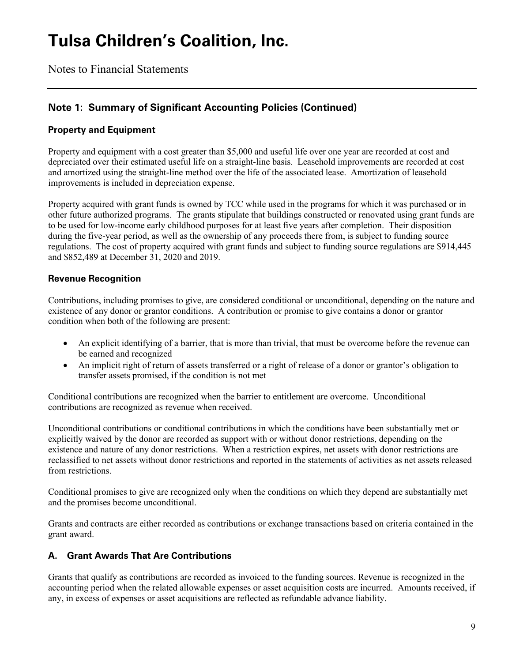Notes to Financial Statements

### **Note 1: Summary of Significant Accounting Policies (Continued)**

#### **Property and Equipment**

Property and equipment with a cost greater than \$5,000 and useful life over one year are recorded at cost and depreciated over their estimated useful life on a straight-line basis. Leasehold improvements are recorded at cost and amortized using the straight-line method over the life of the associated lease. Amortization of leasehold improvements is included in depreciation expense.

Property acquired with grant funds is owned by TCC while used in the programs for which it was purchased or in other future authorized programs. The grants stipulate that buildings constructed or renovated using grant funds are to be used for low-income early childhood purposes for at least five years after completion. Their disposition during the five-year period, as well as the ownership of any proceeds there from, is subject to funding source regulations. The cost of property acquired with grant funds and subject to funding source regulations are \$914,445 and \$852,489 at December 31, 2020 and 2019.

#### **Revenue Recognition**

Contributions, including promises to give, are considered conditional or unconditional, depending on the nature and existence of any donor or grantor conditions. A contribution or promise to give contains a donor or grantor condition when both of the following are present:

- An explicit identifying of a barrier, that is more than trivial, that must be overcome before the revenue can be earned and recognized
- An implicit right of return of assets transferred or a right of release of a donor or grantor's obligation to transfer assets promised, if the condition is not met

Conditional contributions are recognized when the barrier to entitlement are overcome. Unconditional contributions are recognized as revenue when received.

Unconditional contributions or conditional contributions in which the conditions have been substantially met or explicitly waived by the donor are recorded as support with or without donor restrictions, depending on the existence and nature of any donor restrictions. When a restriction expires, net assets with donor restrictions are reclassified to net assets without donor restrictions and reported in the statements of activities as net assets released from restrictions.

Conditional promises to give are recognized only when the conditions on which they depend are substantially met and the promises become unconditional.

Grants and contracts are either recorded as contributions or exchange transactions based on criteria contained in the grant award.

#### **A. Grant Awards That Are Contributions**

Grants that qualify as contributions are recorded as invoiced to the funding sources. Revenue is recognized in the accounting period when the related allowable expenses or asset acquisition costs are incurred. Amounts received, if any, in excess of expenses or asset acquisitions are reflected as refundable advance liability.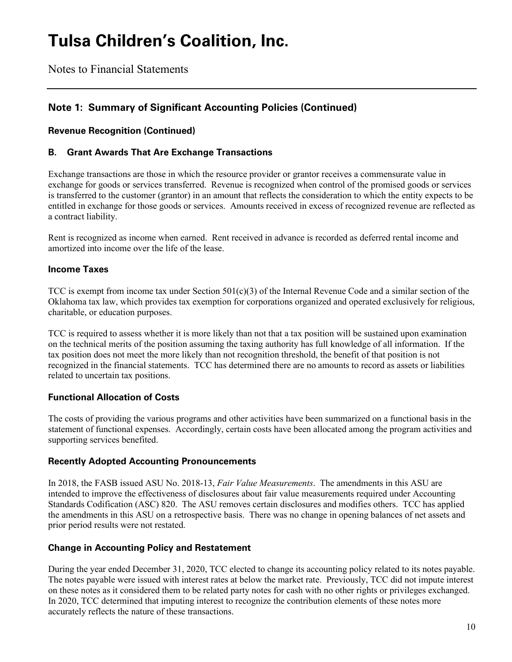Notes to Financial Statements

### **Note 1: Summary of Significant Accounting Policies (Continued)**

#### **Revenue Recognition (Continued)**

#### **B. Grant Awards That Are Exchange Transactions**

Exchange transactions are those in which the resource provider or grantor receives a commensurate value in exchange for goods or services transferred. Revenue is recognized when control of the promised goods or services is transferred to the customer (grantor) in an amount that reflects the consideration to which the entity expects to be entitled in exchange for those goods or services. Amounts received in excess of recognized revenue are reflected as a contract liability.

Rent is recognized as income when earned. Rent received in advance is recorded as deferred rental income and amortized into income over the life of the lease.

#### **Income Taxes**

TCC is exempt from income tax under Section  $501(c)(3)$  of the Internal Revenue Code and a similar section of the Oklahoma tax law, which provides tax exemption for corporations organized and operated exclusively for religious, charitable, or education purposes.

TCC is required to assess whether it is more likely than not that a tax position will be sustained upon examination on the technical merits of the position assuming the taxing authority has full knowledge of all information. If the tax position does not meet the more likely than not recognition threshold, the benefit of that position is not recognized in the financial statements. TCC has determined there are no amounts to record as assets or liabilities related to uncertain tax positions.

#### **Functional Allocation of Costs**

The costs of providing the various programs and other activities have been summarized on a functional basis in the statement of functional expenses. Accordingly, certain costs have been allocated among the program activities and supporting services benefited.

#### **Recently Adopted Accounting Pronouncements**

In 2018, the FASB issued ASU No. 2018-13, *Fair Value Measurements*. The amendments in this ASU are intended to improve the effectiveness of disclosures about fair value measurements required under Accounting Standards Codification (ASC) 820. The ASU removes certain disclosures and modifies others. TCC has applied the amendments in this ASU on a retrospective basis. There was no change in opening balances of net assets and prior period results were not restated.

#### **Change in Accounting Policy and Restatement**

During the year ended December 31, 2020, TCC elected to change its accounting policy related to its notes payable. The notes payable were issued with interest rates at below the market rate. Previously, TCC did not impute interest on these notes as it considered them to be related party notes for cash with no other rights or privileges exchanged. In 2020, TCC determined that imputing interest to recognize the contribution elements of these notes more accurately reflects the nature of these transactions.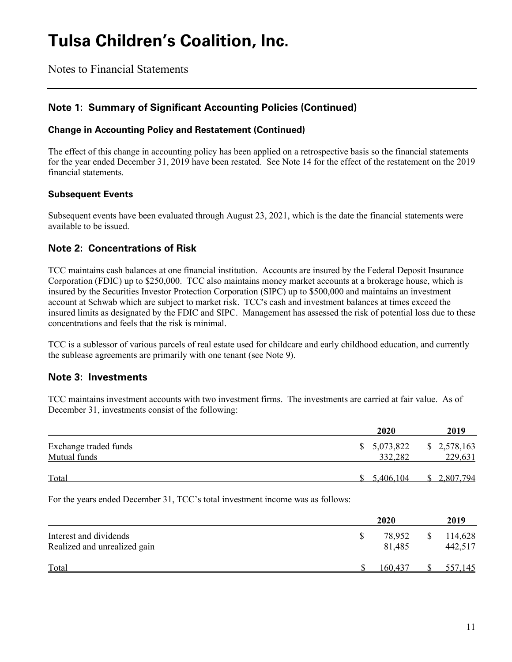Notes to Financial Statements

### **Note 1: Summary of Significant Accounting Policies (Continued)**

#### **Change in Accounting Policy and Restatement (Continued)**

The effect of this change in accounting policy has been applied on a retrospective basis so the financial statements for the year ended December 31, 2019 have been restated. See Note 14 for the effect of the restatement on the 2019 financial statements.

#### **Subsequent Events**

Subsequent events have been evaluated through August 23, 2021, which is the date the financial statements were available to be issued.

#### **Note 2: Concentrations of Risk**

TCC maintains cash balances at one financial institution. Accounts are insured by the Federal Deposit Insurance Corporation (FDIC) up to \$250,000. TCC also maintains money market accounts at a brokerage house, which is insured by the Securities Investor Protection Corporation (SIPC) up to \$500,000 and maintains an investment account at Schwab which are subject to market risk. TCC's cash and investment balances at times exceed the insured limits as designated by the FDIC and SIPC. Management has assessed the risk of potential loss due to these concentrations and feels that the risk is minimal.

TCC is a sublessor of various parcels of real estate used for childcare and early childhood education, and currently the sublease agreements are primarily with one tenant (see Note 9).

#### **Note 3: Investments**

TCC maintains investment accounts with two investment firms. The investments are carried at fair value. As of December 31, investments consist of the following:

|                       | 2020        | 2019        |
|-----------------------|-------------|-------------|
| Exchange traded funds | \$5,073,822 | \$2,578,163 |
| Mutual funds          | 332,282     | 229,631     |
| Total                 | 5,406,104   | 2,807,794   |

For the years ended December 31, TCC's total investment income was as follows:

|                              |  | 2019    |    |         |
|------------------------------|--|---------|----|---------|
| Interest and dividends       |  | 78.952  | \$ | 114,628 |
| Realized and unrealized gain |  | 81,485  |    | 442,517 |
| Total                        |  | 160.437 |    | 557,145 |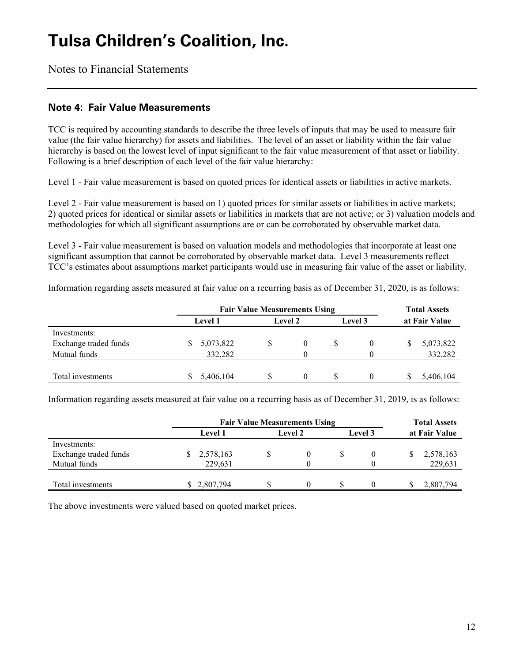Notes to Financial Statements

#### **Note 4: Fair Value Measurements**

TCC is required by accounting standards to describe the three levels of inputs that may be used to measure fair value (the fair value hierarchy) for assets and liabilities. The level of an asset or liability within the fair value hierarchy is based on the lowest level of input significant to the fair value measurement of that asset or liability. Following is a brief description of each level of the fair value hierarchy:

Level 1 - Fair value measurement is based on quoted prices for identical assets or liabilities in active markets.

Level 2 - Fair value measurement is based on 1) quoted prices for similar assets or liabilities in active markets; 2) quoted prices for identical or similar assets or liabilities in markets that are not active; or 3) valuation models and methodologies for which all significant assumptions are or can be corroborated by observable market data.

Level 3 - Fair value measurement is based on valuation models and methodologies that incorporate at least one significant assumption that cannot be corroborated by observable market data. Level 3 measurements reflect TCC's estimates about assumptions market participants would use in measuring fair value of the asset or liability.

Information regarding assets measured at fair value on a recurring basis as of December 31, 2020, is as follows:

|                       | <b>Fair Value Measurements Using</b> |           |                |  |    |         | <b>Total Assets</b> |               |  |
|-----------------------|--------------------------------------|-----------|----------------|--|----|---------|---------------------|---------------|--|
|                       | <b>Level 1</b>                       |           | <b>Level 2</b> |  |    | Level 3 |                     | at Fair Value |  |
| Investments:          |                                      |           |                |  |    |         |                     |               |  |
| Exchange traded funds |                                      | 5,073,822 | S              |  | \$ |         |                     | 5,073,822     |  |
| Mutual funds          |                                      | 332,282   |                |  |    |         |                     | 332,282       |  |
|                       |                                      |           |                |  |    |         |                     |               |  |
| Total investments     |                                      | 5,406,104 | S              |  | S  |         |                     | 5,406,104     |  |

Information regarding assets measured at fair value on a recurring basis as of December 31, 2019, is as follows:

|                       | <b>Fair Value Measurements Using</b> |         | <b>Total Assets</b> |  |         |  |               |
|-----------------------|--------------------------------------|---------|---------------------|--|---------|--|---------------|
|                       | <b>Level 1</b>                       | Level 2 |                     |  | Level 3 |  | at Fair Value |
| Investments:          |                                      |         |                     |  |         |  |               |
| Exchange traded funds | 2,578,163<br>S                       |         |                     |  |         |  | 2,578,163     |
| Mutual funds          | 229.631                              |         |                     |  |         |  | 229,631       |
|                       |                                      |         |                     |  |         |  |               |
| Total investments     | \$ 2,807,794                         |         |                     |  |         |  | 2,807,794     |

The above investments were valued based on quoted market prices.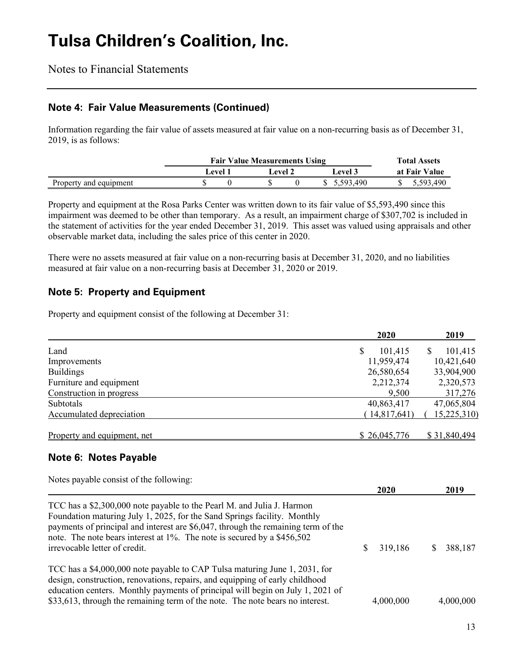Notes to Financial Statements

#### **Note 4: Fair Value Measurements (Continued)**

Information regarding the fair value of assets measured at fair value on a non-recurring basis as of December 31, 2019, is as follows:

|                        | <b>Fair Value Measurements Using</b> | <b>Total Assets</b> |         |  |           |               |
|------------------------|--------------------------------------|---------------------|---------|--|-----------|---------------|
|                        | Level 1                              |                     | Level 2 |  | Level 3   | at Fair Value |
| Property and equipment |                                      |                     |         |  | 5.593.490 | 5.593.490     |

Property and equipment at the Rosa Parks Center was written down to its fair value of \$5,593,490 since this impairment was deemed to be other than temporary. As a result, an impairment charge of \$307,702 is included in the statement of activities for the year ended December 31, 2019. This asset was valued using appraisals and other observable market data, including the sales price of this center in 2020.

There were no assets measured at fair value on a non-recurring basis at December 31, 2020, and no liabilities measured at fair value on a non-recurring basis at December 31, 2020 or 2019.

### **Note 5: Property and Equipment**

Property and equipment consist of the following at December 31:

|                             | 2020          | 2019         |
|-----------------------------|---------------|--------------|
| Land                        | \$<br>101,415 | 101,415<br>S |
| Improvements                | 11,959,474    | 10,421,640   |
| <b>Buildings</b>            | 26,580,654    | 33,904,900   |
| Furniture and equipment     | 2,212,374     | 2,320,573    |
| Construction in progress    | 9,500         | 317,276      |
| Subtotals                   | 40,863,417    | 47,065,804   |
| Accumulated depreciation    | (14,817,641)  | 15,225,310   |
| Property and equipment, net | \$26,045,776  | \$31,840,494 |

### **Note 6: Notes Payable**

| Notes payable consist of the following:                                                                                                                                                                                                                                                                                                             |             |           |
|-----------------------------------------------------------------------------------------------------------------------------------------------------------------------------------------------------------------------------------------------------------------------------------------------------------------------------------------------------|-------------|-----------|
|                                                                                                                                                                                                                                                                                                                                                     | <b>2020</b> | 2019      |
| TCC has a \$2,300,000 note payable to the Pearl M. and Julia J. Harmon<br>Foundation maturing July 1, 2025, for the Sand Springs facility. Monthly<br>payments of principal and interest are \$6,047, through the remaining term of the<br>note. The note bears interest at 1%. The note is secured by a \$456,502<br>irrevocable letter of credit. | 319,186     | 388,187   |
| TCC has a \$4,000,000 note payable to CAP Tulsa maturing June 1, 2031, for<br>design, construction, renovations, repairs, and equipping of early childhood<br>education centers. Monthly payments of principal will begin on July 1, 2021 of<br>\$33,613, through the remaining term of the note. The note bears no interest.                       | 4,000,000   | 4,000,000 |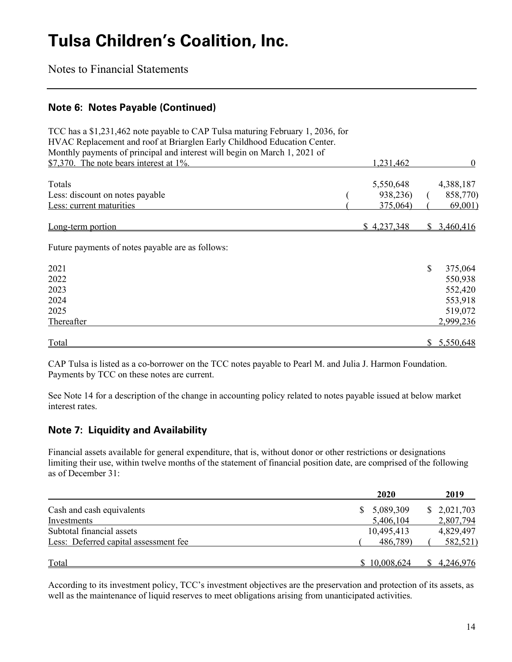Notes to Financial Statements

#### **Note 6: Notes Payable (Continued)**

| TCC has a \$1,231,462 note payable to CAP Tulsa maturing February 1, 2036, for |             |     |             |
|--------------------------------------------------------------------------------|-------------|-----|-------------|
| HVAC Replacement and roof at Briarglen Early Childhood Education Center.       |             |     |             |
| Monthly payments of principal and interest will begin on March 1, 2021 of      |             |     |             |
| \$7,370. The note bears interest at $1\%$ .                                    | 1,231,462   |     | $\theta$    |
| Totals                                                                         | 5,550,648   |     | 4,388,187   |
| Less: discount on notes payable                                                | 938,236)    |     | 858,770)    |
| Less: current maturities                                                       | 375,064)    |     | 69,001)     |
| Long-term portion                                                              | \$4,237,348 | SS. | 3,460,416   |
| Future payments of notes payable are as follows:                               |             |     |             |
| 2021                                                                           |             | \$  | 375,064     |
| 2022                                                                           |             |     | 550,938     |
| 2023                                                                           |             |     | 552,420     |
| 2024                                                                           |             |     | 553,918     |
| 2025                                                                           |             |     | 519,072     |
| Thereafter                                                                     |             |     | 2,999,236   |
| Total                                                                          |             |     | \$5,550,648 |

CAP Tulsa is listed as a co-borrower on the TCC notes payable to Pearl M. and Julia J. Harmon Foundation. Payments by TCC on these notes are current.

See Note 14 for a description of the change in accounting policy related to notes payable issued at below market interest rates.

### **Note 7: Liquidity and Availability**

Financial assets available for general expenditure, that is, without donor or other restrictions or designations limiting their use, within twelve months of the statement of financial position date, are comprised of the following as of December 31:

|                                       | 2020         | 2019        |
|---------------------------------------|--------------|-------------|
| Cash and cash equivalents             | 5,089,309    | \$2,021,703 |
| Investments                           | 5,406,104    | 2,807,794   |
| Subtotal financial assets             | 10,495,413   | 4,829,497   |
| Less: Deferred capital assessment fee | 486,789)     | 582,521)    |
| <b>Total</b>                          | \$10,008,624 | \$4,246,976 |

According to its investment policy, TCC's investment objectives are the preservation and protection of its assets, as well as the maintenance of liquid reserves to meet obligations arising from unanticipated activities.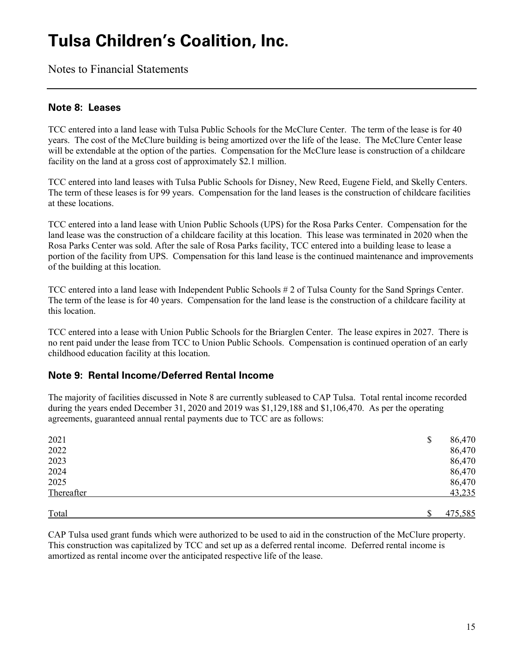Notes to Financial Statements

#### **Note 8: Leases**

TCC entered into a land lease with Tulsa Public Schools for the McClure Center. The term of the lease is for 40 years. The cost of the McClure building is being amortized over the life of the lease. The McClure Center lease will be extendable at the option of the parties. Compensation for the McClure lease is construction of a childcare facility on the land at a gross cost of approximately \$2.1 million.

TCC entered into land leases with Tulsa Public Schools for Disney, New Reed, Eugene Field, and Skelly Centers. The term of these leases is for 99 years. Compensation for the land leases is the construction of childcare facilities at these locations.

TCC entered into a land lease with Union Public Schools (UPS) for the Rosa Parks Center. Compensation for the land lease was the construction of a childcare facility at this location. This lease was terminated in 2020 when the Rosa Parks Center was sold. After the sale of Rosa Parks facility, TCC entered into a building lease to lease a portion of the facility from UPS. Compensation for this land lease is the continued maintenance and improvements of the building at this location.

TCC entered into a land lease with Independent Public Schools # 2 of Tulsa County for the Sand Springs Center. The term of the lease is for 40 years. Compensation for the land lease is the construction of a childcare facility at this location.

TCC entered into a lease with Union Public Schools for the Briarglen Center. The lease expires in 2027. There is no rent paid under the lease from TCC to Union Public Schools. Compensation is continued operation of an early childhood education facility at this location.

#### **Note 9: Rental Income/Deferred Rental Income**

The majority of facilities discussed in Note 8 are currently subleased to CAP Tulsa. Total rental income recorded during the years ended December 31, 2020 and 2019 was \$1,129,188 and \$1,106,470. As per the operating agreements, guaranteed annual rental payments due to TCC are as follows:

| 2021       | \$ | 86,470  |
|------------|----|---------|
| 2022       |    | 86,470  |
| 2023       |    | 86,470  |
| 2024       |    | 86,470  |
| 2025       |    | 86,470  |
| Thereafter |    | 43,235  |
| Total      | ¢  | 475,585 |

CAP Tulsa used grant funds which were authorized to be used to aid in the construction of the McClure property. This construction was capitalized by TCC and set up as a deferred rental income. Deferred rental income is amortized as rental income over the anticipated respective life of the lease.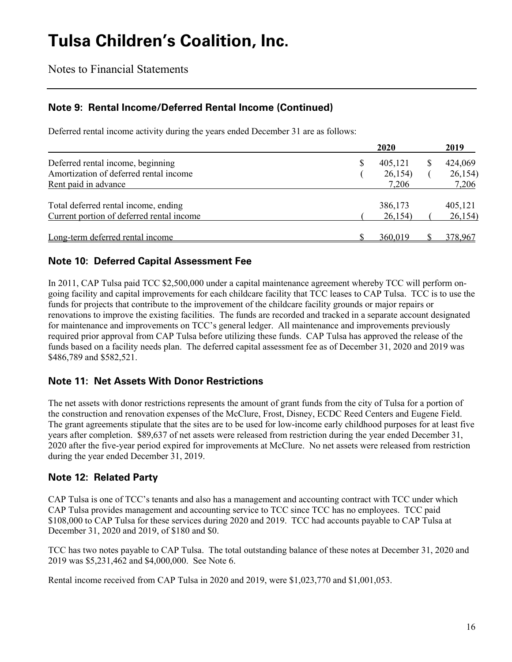Notes to Financial Statements

### **Note 9: Rental Income/Deferred Rental Income (Continued)**

Deferred rental income activity during the years ended December 31 are as follows:

|                                           | 2020          | 2019    |
|-------------------------------------------|---------------|---------|
| Deferred rental income, beginning         | \$<br>405,121 | 424,069 |
| Amortization of deferred rental income    | 26,154)       | 26,154) |
| Rent paid in advance                      | 7,206         | 7,206   |
| Total deferred rental income, ending      | 386,173       | 405,121 |
| Current portion of deferred rental income | 26,154        | 26,154) |
|                                           |               |         |
| Long-term deferred rental income          | 360,019       | 378,967 |

#### **Note 10: Deferred Capital Assessment Fee**

In 2011, CAP Tulsa paid TCC \$2,500,000 under a capital maintenance agreement whereby TCC will perform ongoing facility and capital improvements for each childcare facility that TCC leases to CAP Tulsa. TCC is to use the funds for projects that contribute to the improvement of the childcare facility grounds or major repairs or renovations to improve the existing facilities. The funds are recorded and tracked in a separate account designated for maintenance and improvements on TCC's general ledger. All maintenance and improvements previously required prior approval from CAP Tulsa before utilizing these funds. CAP Tulsa has approved the release of the funds based on a facility needs plan. The deferred capital assessment fee as of December 31, 2020 and 2019 was \$486,789 and \$582,521.

#### **Note 11: Net Assets With Donor Restrictions**

The net assets with donor restrictions represents the amount of grant funds from the city of Tulsa for a portion of the construction and renovation expenses of the McClure, Frost, Disney, ECDC Reed Centers and Eugene Field. The grant agreements stipulate that the sites are to be used for low-income early childhood purposes for at least five years after completion. \$89,637 of net assets were released from restriction during the year ended December 31, 2020 after the five-year period expired for improvements at McClure. No net assets were released from restriction during the year ended December 31, 2019.

#### **Note 12: Related Party**

CAP Tulsa is one of TCC's tenants and also has a management and accounting contract with TCC under which CAP Tulsa provides management and accounting service to TCC since TCC has no employees. TCC paid \$108,000 to CAP Tulsa for these services during 2020 and 2019. TCC had accounts payable to CAP Tulsa at December 31, 2020 and 2019, of \$180 and \$0.

TCC has two notes payable to CAP Tulsa. The total outstanding balance of these notes at December 31, 2020 and 2019 was \$5,231,462 and \$4,000,000. See Note 6.

Rental income received from CAP Tulsa in 2020 and 2019, were \$1,023,770 and \$1,001,053.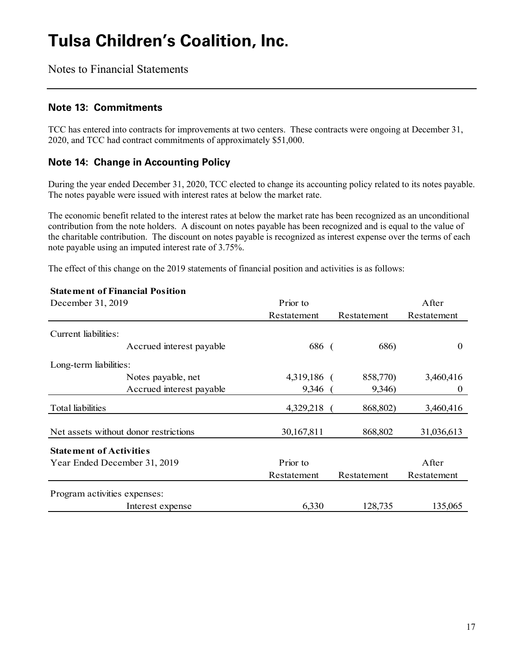Notes to Financial Statements

#### **Note 13: Commitments**

TCC has entered into contracts for improvements at two centers. These contracts were ongoing at December 31, 2020, and TCC had contract commitments of approximately \$51,000.

### **Note 14: Change in Accounting Policy**

During the year ended December 31, 2020, TCC elected to change its accounting policy related to its notes payable. The notes payable were issued with interest rates at below the market rate.

The economic benefit related to the interest rates at below the market rate has been recognized as an unconditional contribution from the note holders. A discount on notes payable has been recognized and is equal to the value of the charitable contribution. The discount on notes payable is recognized as interest expense over the terms of each note payable using an imputed interest rate of 3.75%.

The effect of this change on the 2019 statements of financial position and activities is as follows:

| <b>Statement of Financial Position</b> |             |             |             |
|----------------------------------------|-------------|-------------|-------------|
| December 31, 2019                      | Prior to    |             | After       |
|                                        | Restatement | Restatement | Restatement |
| Current liabilities:                   |             |             |             |
| Accrued interest payable               | 686 (       | 686)        | $\theta$    |
| Long-term liabilities:                 |             |             |             |
| Notes payable, net                     | 4,319,186 ( | 858,770)    | 3,460,416   |
| Accrued interest payable               | 9,346       | 9,346)      | $\theta$    |
| Total liabilities                      | 4,329,218   | 868,802)    | 3,460,416   |
| Net assets without donor restrictions  | 30,167,811  | 868,802     | 31,036,613  |
| <b>Statement of Activities</b>         |             |             |             |
| Year Ended December 31, 2019           | Prior to    |             | After       |
|                                        | Restatement | Restatement | Restatement |
| Program activities expenses:           |             |             |             |
| Interest expense                       | 6,330       | 128,735     | 135,065     |